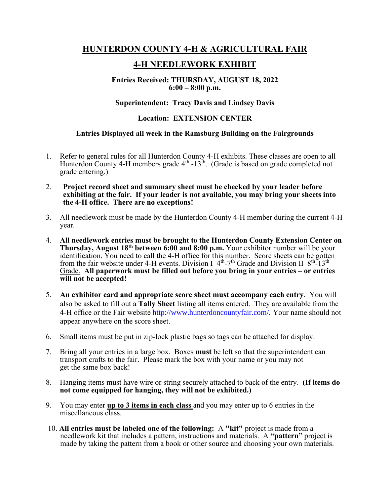## **HUNTERDON COUNTY 4-H & AGRICULTURAL FAIR**

# **4-H NEEDLEWORK EXHIBIT**

### **Entries Received: THURSDAY, AUGUST 18, 2022 6:00 – 8:00 p.m.**

### **Superintendent: Tracy Davis and Lindsey Davis**

#### **Location: EXTENSION CENTER**

#### **Entries Displayed all week in the Ramsburg Building on the Fairgrounds**

- 1. Refer to general rules for all Hunterdon County 4-H exhibits. These classes are open to all Hunterdon County 4-H members grade  $4<sup>th</sup>$  -13<sup>th</sup>. (Grade is based on grade completed not grade entering.)
- 2. **Project record sheet and summary sheet must be checked by your leader before exhibiting at the fair. If your leader is not available, you may bring your sheets into the 4-H office. There are no exceptions!**
- 3. All needlework must be made by the Hunterdon County 4-H member during the current 4-H year.
- 4. **All needlework entries must be brought to the Hunterdon County Extension Center on Thursday, August 18<sup>th</sup> between 6:00 and 8:00 p.m.** Your exhibitor number will be your identification. You need to call the 4-H office for this number. Score sheets can be gotten from the fair website under 4-H events. Division I  $4<sup>th</sup>$ -7<sup>th</sup> Grade and Division II  $8<sup>th</sup>$ -13<sup>th</sup> Grade. **All paperwork must be filled out before you bring in your entries – or entries will not be accepted!**
- 5. **An exhibitor card and appropriate score sheet must accompany each entry**. You will also be asked to fill out a **Tally Sheet** listing all items entered. They are available from the 4-H office or the Fair website [http://www.hunterdoncountyfair.com/.](http://www.hunterdoncountyfair.com/) Your name should not appear anywhere on the score sheet.
- 6. Small items must be put in zip-lock plastic bags so tags can be attached for display.
- 7. Bring all your entries in a large box. Boxes **must** be left so that the superintendent can transport crafts to the fair. Please mark the box with your name or you may not get the same box back!
- 8. Hanging items must have wire or string securely attached to back of the entry. **(If items do not come equipped for hanging, they will not be exhibited.)**
- 9. You may enter **up to 3 items in each class** and you may enter up to 6 entries in the miscellaneous class.
- 10. **All entries must be labeled one of the following:** A **"kit"** project is made from a needlework kit that includes a pattern, instructions and materials. A **"pattern"** project is made by taking the pattern from a book or other source and choosing your own materials.